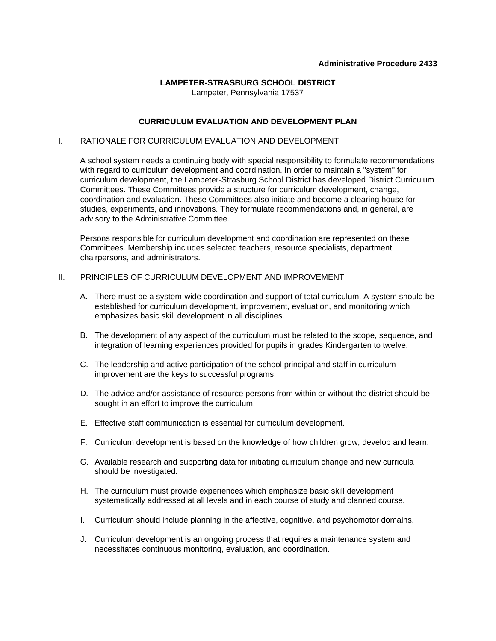#### **Administrative Procedure 2433**

# **LAMPETER-STRASBURG SCHOOL DISTRICT**

Lampeter, Pennsylvania 17537

## **CURRICULUM EVALUATION AND DEVELOPMENT PLAN**

## I. RATIONALE FOR CURRICULUM EVALUATION AND DEVELOPMENT

 A school system needs a continuing body with special responsibility to formulate recommendations with regard to curriculum development and coordination. In order to maintain a "system" for curriculum development, the Lampeter-Strasburg School District has developed District Curriculum Committees. These Committees provide a structure for curriculum development, change, coordination and evaluation. These Committees also initiate and become a clearing house for studies, experiments, and innovations. They formulate recommendations and, in general, are advisory to the Administrative Committee.

 Persons responsible for curriculum development and coordination are represented on these Committees. Membership includes selected teachers, resource specialists, department chairpersons, and administrators.

## II. PRINCIPLES OF CURRICULUM DEVELOPMENT AND IMPROVEMENT

- A. There must be a system-wide coordination and support of total curriculum. A system should be established for curriculum development, improvement, evaluation, and monitoring which emphasizes basic skill development in all disciplines.
- B. The development of any aspect of the curriculum must be related to the scope, sequence, and integration of learning experiences provided for pupils in grades Kindergarten to twelve.
- C. The leadership and active participation of the school principal and staff in curriculum improvement are the keys to successful programs.
- D. The advice and/or assistance of resource persons from within or without the district should be sought in an effort to improve the curriculum.
- E. Effective staff communication is essential for curriculum development.
- F. Curriculum development is based on the knowledge of how children grow, develop and learn.
- G. Available research and supporting data for initiating curriculum change and new curricula should be investigated.
- H. The curriculum must provide experiences which emphasize basic skill development systematically addressed at all levels and in each course of study and planned course.
- I. Curriculum should include planning in the affective, cognitive, and psychomotor domains.
- J. Curriculum development is an ongoing process that requires a maintenance system and necessitates continuous monitoring, evaluation, and coordination.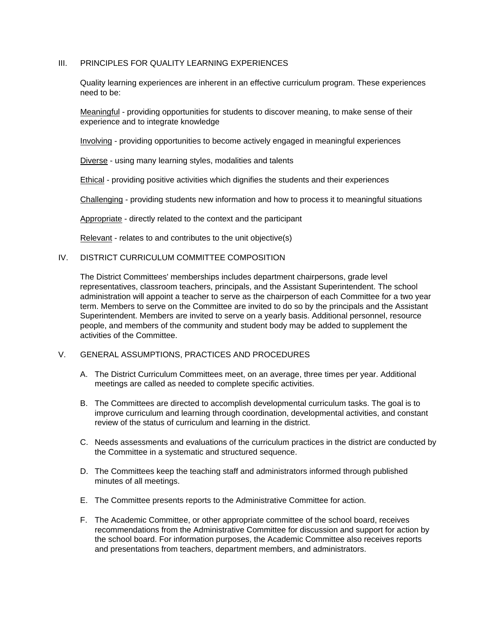### III. PRINCIPLES FOR QUALITY LEARNING EXPERIENCES

 Quality learning experiences are inherent in an effective curriculum program. These experiences need to be:

Meaningful - providing opportunities for students to discover meaning, to make sense of their experience and to integrate knowledge

Involving - providing opportunities to become actively engaged in meaningful experiences

Diverse - using many learning styles, modalities and talents

Ethical - providing positive activities which dignifies the students and their experiences

Challenging - providing students new information and how to process it to meaningful situations

Appropriate - directly related to the context and the participant

Relevant - relates to and contributes to the unit objective(s)

#### IV. DISTRICT CURRICULUM COMMITTEE COMPOSITION

 The District Committees' memberships includes department chairpersons, grade level representatives, classroom teachers, principals, and the Assistant Superintendent. The school administration will appoint a teacher to serve as the chairperson of each Committee for a two year term. Members to serve on the Committee are invited to do so by the principals and the Assistant Superintendent. Members are invited to serve on a yearly basis. Additional personnel, resource people, and members of the community and student body may be added to supplement the activities of the Committee.

#### V. GENERAL ASSUMPTIONS, PRACTICES AND PROCEDURES

- A. The District Curriculum Committees meet, on an average, three times per year. Additional meetings are called as needed to complete specific activities.
- B. The Committees are directed to accomplish developmental curriculum tasks. The goal is to improve curriculum and learning through coordination, developmental activities, and constant review of the status of curriculum and learning in the district.
- C. Needs assessments and evaluations of the curriculum practices in the district are conducted by the Committee in a systematic and structured sequence.
- D. The Committees keep the teaching staff and administrators informed through published minutes of all meetings.
- E. The Committee presents reports to the Administrative Committee for action.
- F. The Academic Committee, or other appropriate committee of the school board, receives recommendations from the Administrative Committee for discussion and support for action by the school board. For information purposes, the Academic Committee also receives reports and presentations from teachers, department members, and administrators.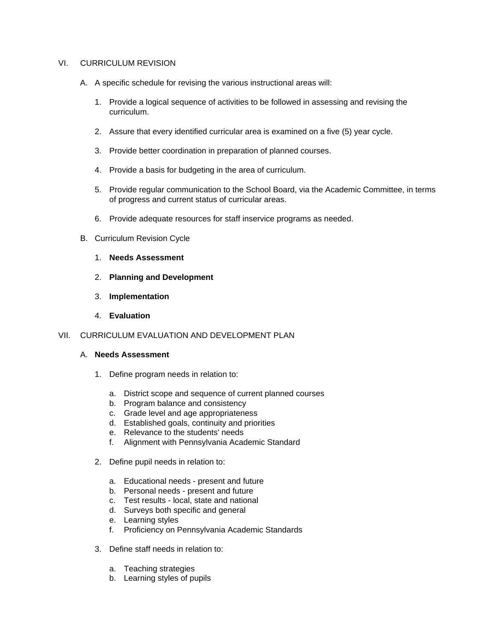### VI. CURRICULUM REVISION

- A. A specific schedule for revising the various instructional areas will:
	- 1. Provide a logical sequence of activities to be followed in assessing and revising the curriculum.
	- 2. Assure that every identified curricular area is examined on a five (5) year cycle.
	- 3. Provide better coordination in preparation of planned courses.
	- 4. Provide a basis for budgeting in the area of curriculum.
	- 5. Provide regular communication to the School Board, via the Academic Committee, in terms of progress and current status of curricular areas.
	- 6. Provide adequate resources for staff inservice programs as needed.
- B. Curriculum Revision Cycle
	- 1. **Needs Assessment**
	- 2. **Planning and Development**
	- 3. **Implementation**
	- 4. **Evaluation**
- VII. CURRICULUM EVALUATION AND DEVELOPMENT PLAN
	- A. **Needs Assessment**
		- 1. Define program needs in relation to:
			- a. District scope and sequence of current planned courses
			- b. Program balance and consistency
			- c. Grade level and age appropriateness
			- d. Established goals, continuity and priorities
			- e. Relevance to the students' needs
			- f. Alignment with Pennsylvania Academic Standard
		- 2. Define pupil needs in relation to:
			- a. Educational needs present and future
			- b. Personal needs present and future
			- c. Test results local, state and national
			- d. Surveys both specific and general
			- e. Learning styles
			- f. Proficiency on Pennsylvania Academic Standards
		- 3. Define staff needs in relation to:
			- a. Teaching strategies
			- b. Learning styles of pupils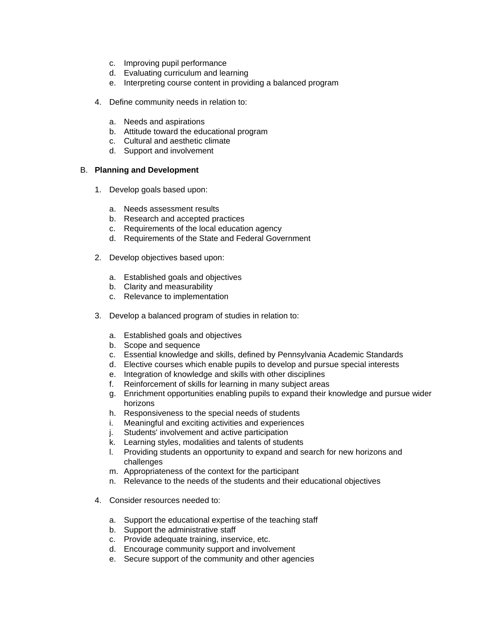- c. Improving pupil performance
- d. Evaluating curriculum and learning
- e. Interpreting course content in providing a balanced program
- 4. Define community needs in relation to:
	- a. Needs and aspirations
	- b. Attitude toward the educational program
	- c. Cultural and aesthetic climate
	- d. Support and involvement

## B. **Planning and Development**

- 1. Develop goals based upon:
	- a. Needs assessment results
	- b. Research and accepted practices
	- c. Requirements of the local education agency
	- d. Requirements of the State and Federal Government
- 2. Develop objectives based upon:
	- a. Established goals and objectives
	- b. Clarity and measurability
	- c. Relevance to implementation
- 3. Develop a balanced program of studies in relation to:
	- a. Established goals and objectives
	- b. Scope and sequence
	- c. Essential knowledge and skills, defined by Pennsylvania Academic Standards
	- d. Elective courses which enable pupils to develop and pursue special interests
	- e. Integration of knowledge and skills with other disciplines
	- f. Reinforcement of skills for learning in many subject areas
	- g. Enrichment opportunities enabling pupils to expand their knowledge and pursue wider horizons
	- h. Responsiveness to the special needs of students
	- i. Meaningful and exciting activities and experiences
	- j. Students' involvement and active participation
	- k. Learning styles, modalities and talents of students
	- l. Providing students an opportunity to expand and search for new horizons and challenges
	- m. Appropriateness of the context for the participant
	- n. Relevance to the needs of the students and their educational objectives
- 4. Consider resources needed to:
	- a. Support the educational expertise of the teaching staff
	- b. Support the administrative staff
	- c. Provide adequate training, inservice, etc.
	- d. Encourage community support and involvement
	- e. Secure support of the community and other agencies